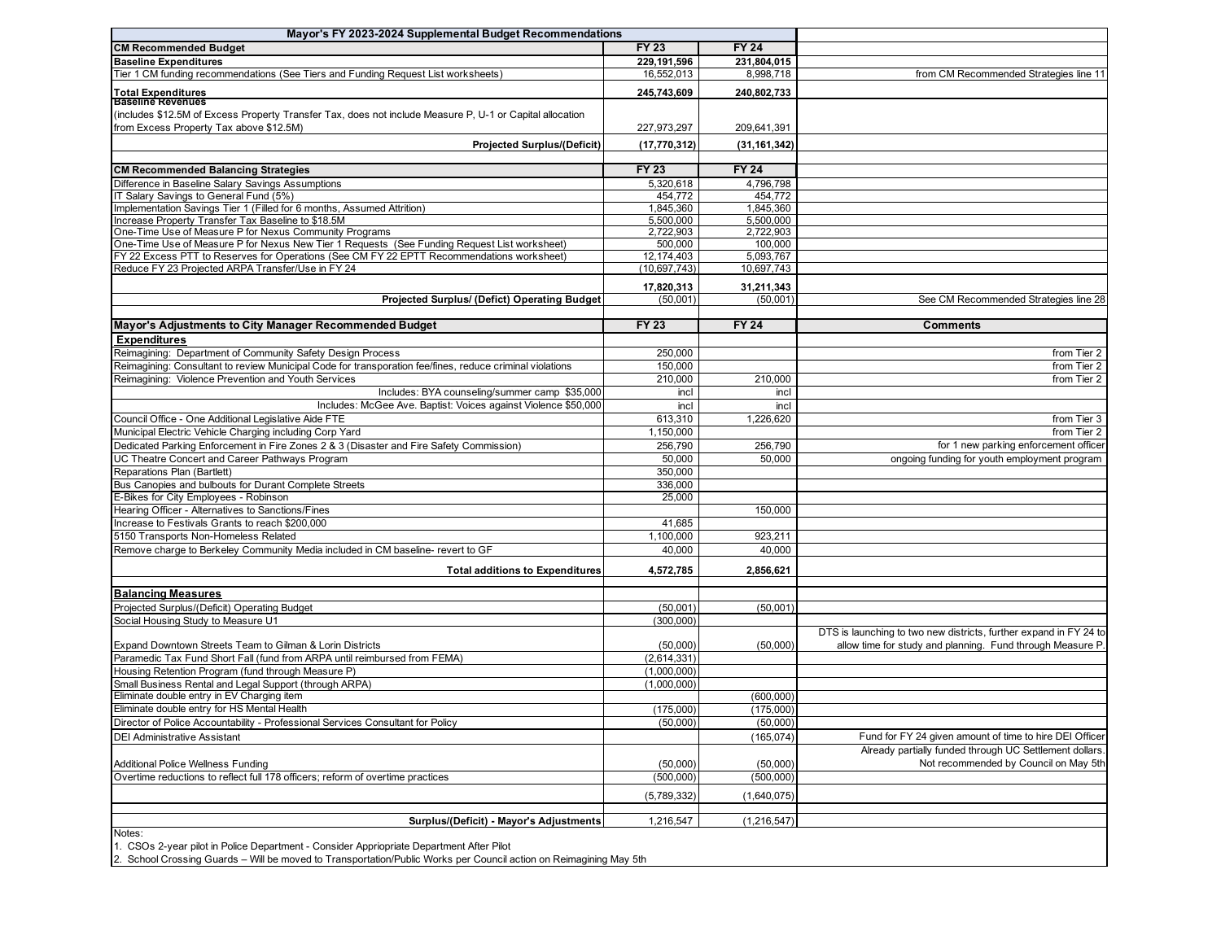| Mayor's FY 2023-2024 Supplemental Budget Recommendations                                                                                            |                        |                      |                                                                                                                                |
|-----------------------------------------------------------------------------------------------------------------------------------------------------|------------------------|----------------------|--------------------------------------------------------------------------------------------------------------------------------|
| <b>CM Recommended Budget</b>                                                                                                                        | <b>FY 23</b>           | <b>FY 24</b>         |                                                                                                                                |
| <b>Baseline Expenditures</b>                                                                                                                        | 229,191,596            | 231,804,015          |                                                                                                                                |
| Tier 1 CM funding recommendations (See Tiers and Funding Request List worksheets)                                                                   | 16,552,013             | 8,998,718            | from CM Recommended Strategies line 11                                                                                         |
| <b>Total Expenditures</b><br><b>Baseline Revenues</b>                                                                                               | 245,743,609            | 240,802,733          |                                                                                                                                |
| (includes \$12.5M of Excess Property Transfer Tax, does not include Measure P, U-1 or Capital allocation<br>from Excess Property Tax above \$12.5M) | 227,973,297            | 209,641,391          |                                                                                                                                |
| <b>Projected Surplus/(Deficit)</b>                                                                                                                  | (17, 770, 312)         | (31, 161, 342)       |                                                                                                                                |
|                                                                                                                                                     |                        |                      |                                                                                                                                |
| <b>CM Recommended Balancing Strategies</b>                                                                                                          | <b>FY 23</b>           | <b>FY 24</b>         |                                                                                                                                |
| Difference in Baseline Salary Savings Assumptions                                                                                                   | 5,320,618              | 4,796,798            |                                                                                                                                |
| IT Salary Savings to General Fund (5%)                                                                                                              | 454,772                | 454,772<br>1,845,360 |                                                                                                                                |
| Implementation Savings Tier 1 (Filled for 6 months, Assumed Attrition)<br>Increase Property Transfer Tax Baseline to \$18.5M                        | 1,845,360<br>5,500,000 | 5.500.000            |                                                                                                                                |
| One-Time Use of Measure P for Nexus Community Programs                                                                                              | 2,722,903              | 2,722,903            |                                                                                                                                |
| One-Time Use of Measure P for Nexus New Tier 1 Requests (See Funding Request List worksheet)                                                        | 500,000                | 100,000              |                                                                                                                                |
| FY 22 Excess PTT to Reserves for Operations (See CM FY 22 EPTT Recommendations worksheet)                                                           | 12,174,403             | 5.093,767            |                                                                                                                                |
| Reduce FY 23 Projected ARPA Transfer/Use in FY 24                                                                                                   | (10, 697, 743)         | 10,697,743           |                                                                                                                                |
|                                                                                                                                                     |                        |                      |                                                                                                                                |
|                                                                                                                                                     | 17,820,313             | 31,211,343           |                                                                                                                                |
| Projected Surplus/ (Defict) Operating Budget                                                                                                        | (50,001)               | (50,001)             | See CM Recommended Strategies line 28                                                                                          |
|                                                                                                                                                     |                        |                      |                                                                                                                                |
| Mayor's Adjustments to City Manager Recommended Budget                                                                                              | <b>FY 23</b>           | <b>FY 24</b>         | <b>Comments</b>                                                                                                                |
| <b>Expenditures</b>                                                                                                                                 |                        |                      |                                                                                                                                |
| Reimagining: Department of Community Safety Design Process                                                                                          | 250,000                |                      | from Tier 2                                                                                                                    |
| Reimagining: Consultant to review Municipal Code for transporation fee/fines, reduce criminal violations                                            | 150,000                |                      | from Tier 2                                                                                                                    |
| Reimagining: Violence Prevention and Youth Services                                                                                                 | 210,000                | 210,000              | from Tier 2                                                                                                                    |
| Includes: BYA counseling/summer camp \$35,000                                                                                                       | incl                   | incl                 |                                                                                                                                |
| Includes: McGee Ave. Baptist: Voices against Violence \$50,000                                                                                      | incl                   | incl                 |                                                                                                                                |
| Council Office - One Additional Legislative Aide FTE                                                                                                | 613,310                | 1.226.620            | from Tier 3                                                                                                                    |
| Municipal Electric Vehicle Charging including Corp Yard                                                                                             | 1,150,000              |                      | from Tier 2                                                                                                                    |
| Dedicated Parking Enforcement in Fire Zones 2 & 3 (Disaster and Fire Safety Commission)                                                             | 256,790                | 256,790              | for 1 new parking enforcement officer                                                                                          |
| UC Theatre Concert and Career Pathways Program                                                                                                      | 50,000                 | 50,000               | ongoing funding for youth employment program                                                                                   |
| Reparations Plan (Bartlett)                                                                                                                         | 350,000                |                      |                                                                                                                                |
| Bus Canopies and bulbouts for Durant Complete Streets                                                                                               | 336,000                |                      |                                                                                                                                |
| E-Bikes for City Employees - Robinson                                                                                                               | 25,000                 |                      |                                                                                                                                |
| Hearing Officer - Alternatives to Sanctions/Fines                                                                                                   |                        | 150,000              |                                                                                                                                |
| Increase to Festivals Grants to reach \$200,000                                                                                                     | 41,685                 |                      |                                                                                                                                |
| 5150 Transports Non-Homeless Related                                                                                                                | 1,100,000              | 923,211              |                                                                                                                                |
| Remove charge to Berkeley Community Media included in CM baseline- revert to GF                                                                     | 40,000                 | 40,000               |                                                                                                                                |
| <b>Total additions to Expenditures</b>                                                                                                              | 4,572,785              | 2,856,621            |                                                                                                                                |
|                                                                                                                                                     |                        |                      |                                                                                                                                |
| <b>Balancing Measures</b>                                                                                                                           |                        |                      |                                                                                                                                |
| Projected Surplus/(Deficit) Operating Budget                                                                                                        | (50,001)               | (50,001)             |                                                                                                                                |
| Social Housing Study to Measure U1                                                                                                                  | (300, 000)             |                      |                                                                                                                                |
| Expand Downtown Streets Team to Gilman & Lorin Districts                                                                                            | (50,000)               | (50,000)             | DTS is launching to two new districts, further expand in FY 24 to<br>allow time for study and planning. Fund through Measure P |
| Paramedic Tax Fund Short Fall (fund from ARPA until reimbursed from FEMA)                                                                           | (2,614,331)            |                      |                                                                                                                                |
| Housing Retention Program (fund through Measure P)                                                                                                  | (1,000,000)            |                      |                                                                                                                                |
| Small Business Rental and Legal Support (through ARPA)                                                                                              | (1,000,000)            |                      |                                                                                                                                |
| Eliminate double entry in EV Charging item                                                                                                          |                        | (600,000)            |                                                                                                                                |
| Eliminate double entry for HS Mental Health                                                                                                         | (175,000)              | (175,000)            |                                                                                                                                |
| Director of Police Accountability - Professional Services Consultant for Policy                                                                     | (50,000)               | (50,000)             |                                                                                                                                |
| <b>DEI Administrative Assistant</b>                                                                                                                 |                        | (165, 074)           | Fund for FY 24 given amount of time to hire DEI Officer                                                                        |
|                                                                                                                                                     |                        |                      | Already partially funded through UC Settlement dollars.                                                                        |
| <b>Additional Police Wellness Funding</b>                                                                                                           | (50,000)               | (50,000)             | Not recommended by Council on May 5th                                                                                          |
| Overtime reductions to reflect full 178 officers; reform of overtime practices                                                                      | (500,000)              | (500,000)            |                                                                                                                                |
|                                                                                                                                                     |                        |                      |                                                                                                                                |
|                                                                                                                                                     | (5,789,332)            | (1,640,075)          |                                                                                                                                |
| Surplus/(Deficit) - Mayor's Adjustments                                                                                                             | 1,216,547              | (1,216,547)          |                                                                                                                                |
| Notes:<br>1. CSOs 3 year pilot in Police Department. Consider Apprianciate Department After Bilot                                                   |                        |                      |                                                                                                                                |

1. CSOs 2-year pilot in Police Department - Consider Appriopriate Department After Pilot

2. School Crossing Guards – Will be moved to Transportation/Public Works per Council action on Reimagining May 5th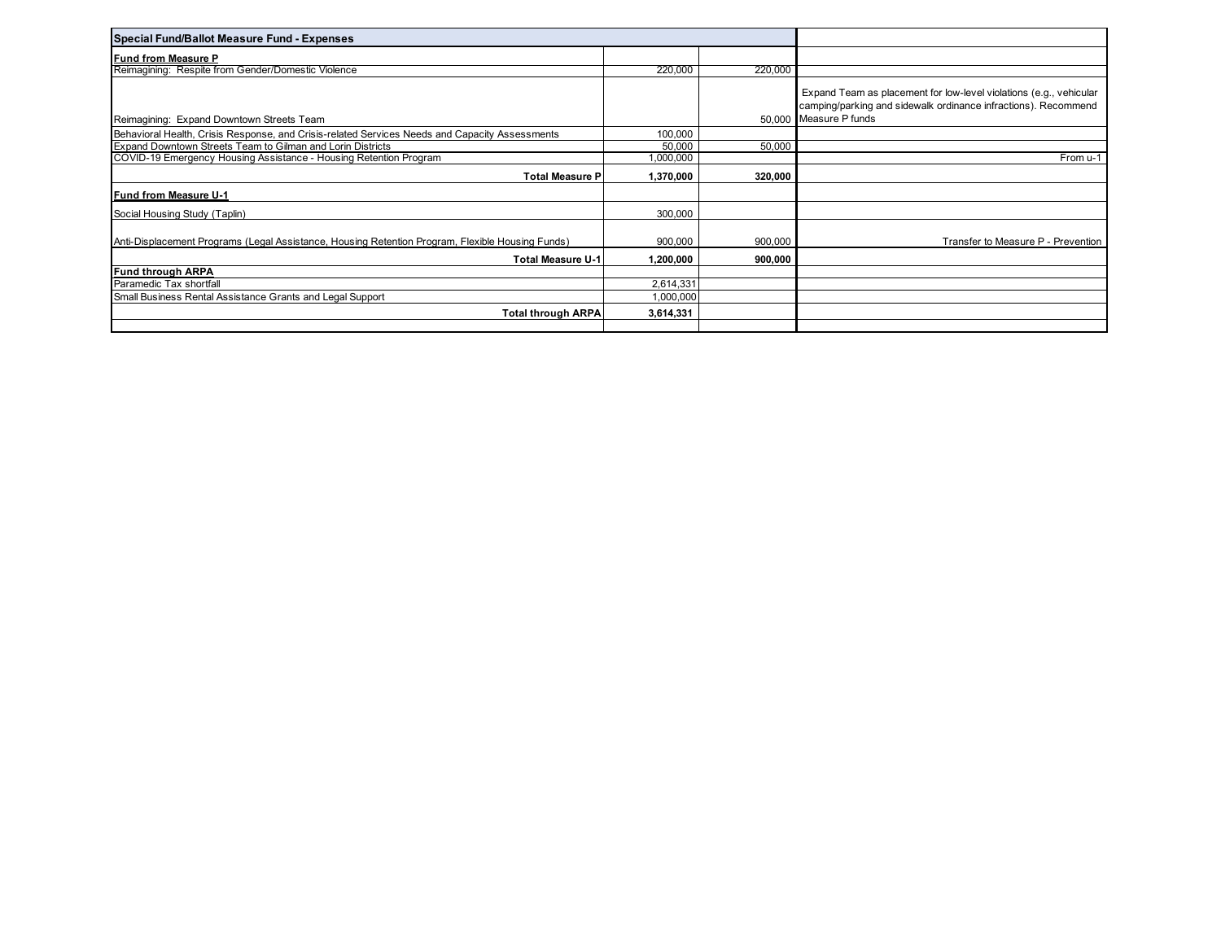| Special Fund/Ballot Measure Fund - Expenses                                                      |           |         |                                                                                                                                                                |
|--------------------------------------------------------------------------------------------------|-----------|---------|----------------------------------------------------------------------------------------------------------------------------------------------------------------|
| <b>Fund from Measure P</b>                                                                       |           |         |                                                                                                                                                                |
| Reimagining: Respite from Gender/Domestic Violence                                               | 220,000   | 220,000 |                                                                                                                                                                |
| Reimagining: Expand Downtown Streets Team                                                        |           |         | Expand Team as placement for low-level violations (e.g., vehicular<br>camping/parking and sidewalk ordinance infractions). Recommend<br>50.000 Measure P funds |
| Behavioral Health, Crisis Response, and Crisis-related Services Needs and Capacity Assessments   | 100,000   |         |                                                                                                                                                                |
| Expand Downtown Streets Team to Gilman and Lorin Districts                                       | 50,000    | 50,000  |                                                                                                                                                                |
| COVID-19 Emergency Housing Assistance - Housing Retention Program                                | 1,000,000 |         | From u-1                                                                                                                                                       |
| <b>Total Measure P</b>                                                                           | 1,370,000 | 320,000 |                                                                                                                                                                |
| <b>Fund from Measure U-1</b>                                                                     |           |         |                                                                                                                                                                |
| Social Housing Study (Taplin)                                                                    | 300,000   |         |                                                                                                                                                                |
| Anti-Displacement Programs (Legal Assistance, Housing Retention Program, Flexible Housing Funds) | 900,000   | 900,000 | Transfer to Measure P - Prevention                                                                                                                             |
| <b>Total Measure U-1</b>                                                                         | 1,200,000 | 900,000 |                                                                                                                                                                |
| Fund through ARPA                                                                                |           |         |                                                                                                                                                                |
| Paramedic Tax shortfall                                                                          | 2,614,331 |         |                                                                                                                                                                |
| Small Business Rental Assistance Grants and Legal Support                                        | 1,000,000 |         |                                                                                                                                                                |
| <b>Total through ARPA</b>                                                                        | 3,614,331 |         |                                                                                                                                                                |
|                                                                                                  |           |         |                                                                                                                                                                |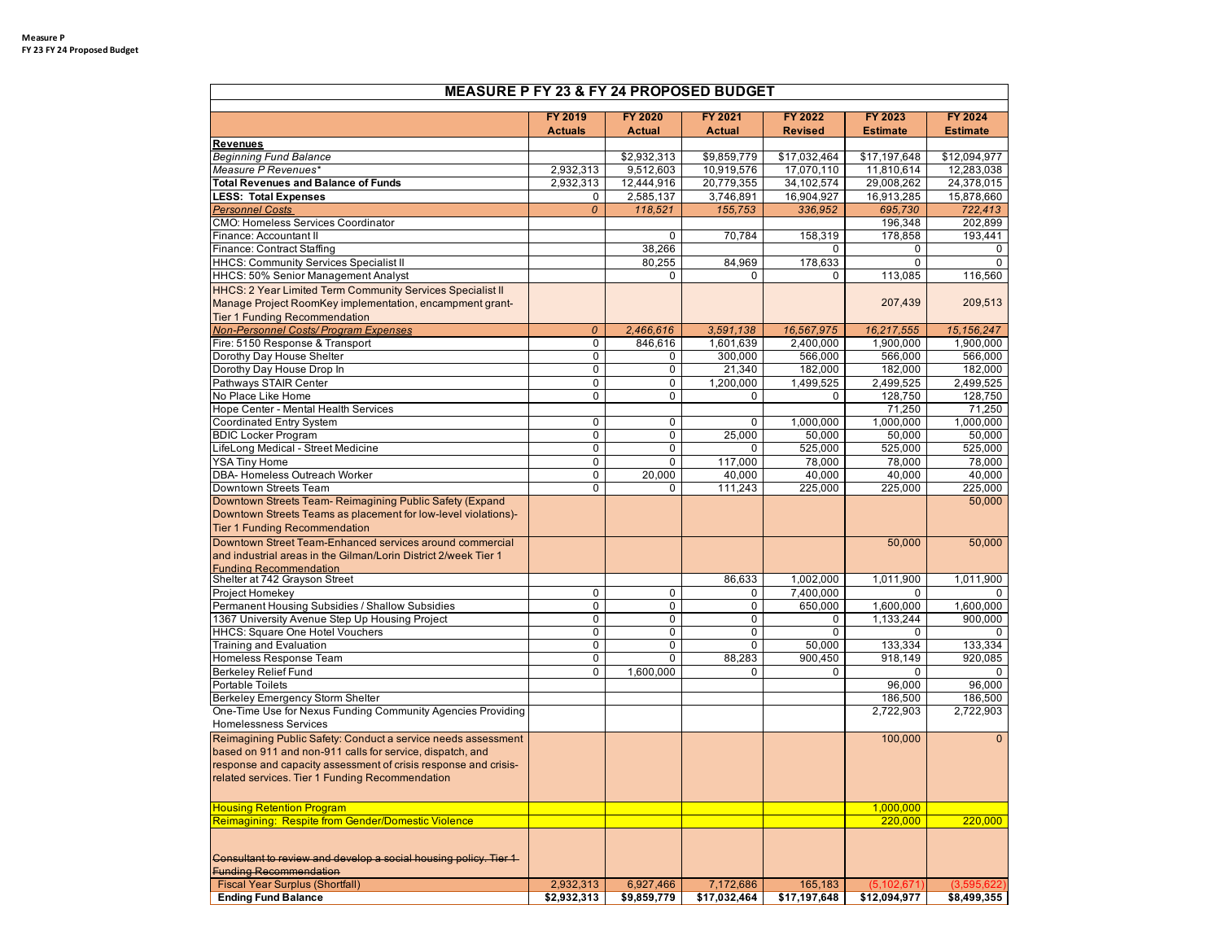| <b>MEASURE P FY 23 &amp; FY 24 PROPOSED BUDGET</b>               |                     |                                                                      |                     |                      |                      |                      |  |
|------------------------------------------------------------------|---------------------|----------------------------------------------------------------------|---------------------|----------------------|----------------------|----------------------|--|
|                                                                  | FY 2019             | <b>FY 2020</b><br><b>FY 2021</b><br><b>FY 2022</b><br><b>FY 2023</b> |                     |                      |                      | <b>FY 2024</b>       |  |
|                                                                  | <b>Actuals</b>      | <b>Actual</b>                                                        | <b>Actual</b>       | <b>Revised</b>       | <b>Estimate</b>      | <b>Estimate</b>      |  |
| <b>Revenues</b>                                                  |                     |                                                                      |                     |                      |                      |                      |  |
| <b>Beginning Fund Balance</b>                                    |                     | \$2,932,313                                                          | \$9,859,779         | \$17,032,464         | \$17,197,648         | \$12,094,977         |  |
| Measure P Revenues*                                              | 2,932,313           | 9,512,603                                                            | 10,919,576          | 17,070,110           | 11,810,614           | 12,283,038           |  |
| <b>Total Revenues and Balance of Funds</b>                       | 2,932,313           | 12,444,916                                                           | 20,779,355          | 34,102,574           | 29,008,262           | 24,378,015           |  |
| <b>LESS: Total Expenses</b>                                      | 0                   | 2,585,137                                                            | 3,746,891           | 16,904,927           | 16,913,285           | 15,878,660           |  |
| <b>Personnel Costs</b>                                           | 0                   | 118,521                                                              | 155,753             | 336,952              | 695,730              | 722,413              |  |
| <b>CMO: Homeless Services Coordinator</b>                        |                     |                                                                      |                     |                      | 196,348              | 202,899              |  |
| Finance: Accountant II                                           |                     | 0                                                                    | 70,784              | 158,319              | 178,858              | 193.441              |  |
| Finance: Contract Staffing                                       |                     | 38,266                                                               |                     | $\Omega$             | 0                    | $\Omega$             |  |
| <b>HHCS: Community Services Specialist II</b>                    |                     | 80,255                                                               | 84,969              | 178,633              | 0                    | $\Omega$             |  |
| HHCS: 50% Senior Management Analyst                              |                     | 0                                                                    | $\Omega$            | 0                    | 113,085              | 116,560              |  |
| HHCS: 2 Year Limited Term Community Services Specialist II       |                     |                                                                      |                     |                      |                      |                      |  |
| Manage Project RoomKey implementation, encampment grant-         |                     |                                                                      |                     |                      | 207,439              | 209,513              |  |
| <b>Tier 1 Funding Recommendation</b>                             |                     |                                                                      |                     |                      |                      |                      |  |
| <b>Non-Personnel Costs/Program Expenses</b>                      | $\boldsymbol{o}$    | 2,466,616                                                            | 3,591,138           | 16,567,975           | 16,217,555           | 15,156,247           |  |
| Fire: 5150 Response & Transport                                  | 0                   | 846,616                                                              | 1,601,639           | 2,400,000            | 1,900,000            | 1,900,000            |  |
| Dorothy Day House Shelter                                        | 0                   | 0                                                                    | 300,000             | 566,000              | 566,000              | 566,000              |  |
| Dorothy Day House Drop In<br>Pathways STAIR Center               | $\overline{0}$<br>0 | 0<br>0                                                               | 21,340<br>1,200,000 | 182,000<br>1,499,525 | 182,000<br>2,499,525 | 182,000<br>2,499,525 |  |
| No Place Like Home                                               | 0                   | $\Omega$                                                             | $\Omega$            | 0                    | 128,750              | 128,750              |  |
| Hope Center - Mental Health Services                             |                     |                                                                      |                     |                      | 71,250               | 71,250               |  |
| Coordinated Entry System                                         | 0                   | 0                                                                    | 0                   | 1.000.000            | 1,000,000            | 1,000,000            |  |
| <b>BDIC Locker Program</b>                                       | 0                   | $\overline{0}$                                                       | 25,000              | 50,000               | 50,000               | 50,000               |  |
| LifeLong Medical - Street Medicine                               | 0                   | 0                                                                    | $\Omega$            | 525,000              | 525,000              | 525,000              |  |
| <b>YSA Tiny Home</b>                                             | 0                   | 0                                                                    | 117,000             | 78,000               | 78,000               | 78,000               |  |
| DBA- Homeless Outreach Worker                                    | 0                   | 20.000                                                               | 40,000              | 40,000               | 40,000               | 40,000               |  |
| Downtown Streets Team                                            | $\overline{0}$      | 0                                                                    | 111,243             | 225,000              | 225,000              | 225,000              |  |
| Downtown Streets Team- Reimagining Public Safety (Expand         |                     |                                                                      |                     |                      |                      | 50,000               |  |
| Downtown Streets Teams as placement for low-level violations)-   |                     |                                                                      |                     |                      |                      |                      |  |
| <b>Tier 1 Funding Recommendation</b>                             |                     |                                                                      |                     |                      |                      |                      |  |
| Downtown Street Team-Enhanced services around commercial         |                     |                                                                      |                     |                      | 50,000               | 50,000               |  |
| and industrial areas in the Gilman/Lorin District 2/week Tier 1  |                     |                                                                      |                     |                      |                      |                      |  |
| <b>Funding Recommendation</b>                                    |                     |                                                                      |                     |                      |                      |                      |  |
| Shelter at 742 Grayson Street                                    |                     |                                                                      | 86,633              | 1,002,000            | 1,011,900            | 1,011,900            |  |
| Project Homekey                                                  | $\mathbf 0$         | $\mathbf 0$                                                          | 0                   | 7,400,000            | $\Omega$             | $\Omega$             |  |
| Permanent Housing Subsidies / Shallow Subsidies                  | 0                   | 0                                                                    | 0                   | 650,000              | 1,600,000            | 1,600,000            |  |
| 1367 University Avenue Step Up Housing Project                   | 0                   | 0                                                                    | 0                   | 0                    | 1,133,244            | 900,000              |  |
| HHCS: Square One Hotel Vouchers                                  | 0                   | 0                                                                    | 0                   | $\mathbf 0$          | 0                    | n                    |  |
| Training and Evaluation                                          | 0                   | $\overline{0}$                                                       | $\Omega$            | 50,000               | 133,334              | 133,334              |  |
| Homeless Response Team                                           | 0                   | $\Omega$                                                             | 88,283              | 900,450              | 918,149              | 920,085              |  |
| <b>Berkeley Relief Fund</b><br><b>Portable Toilets</b>           | 0                   | 1,600,000                                                            | $\Omega$            | 0                    | $\mathbf{0}$         | 0                    |  |
| Berkeley Emergency Storm Shelter                                 |                     |                                                                      |                     |                      | 96,000<br>186,500    | 96,000<br>186,500    |  |
| One-Time Use for Nexus Funding Community Agencies Providing      |                     |                                                                      |                     |                      | 2,722,903            | 2,722,903            |  |
| <b>Homelessness Services</b>                                     |                     |                                                                      |                     |                      |                      |                      |  |
| Reimagining Public Safety: Conduct a service needs assessment    |                     |                                                                      |                     |                      | 100,000              | $\overline{0}$       |  |
| based on 911 and non-911 calls for service, dispatch, and        |                     |                                                                      |                     |                      |                      |                      |  |
| response and capacity assessment of crisis response and crisis-  |                     |                                                                      |                     |                      |                      |                      |  |
| related services. Tier 1 Funding Recommendation                  |                     |                                                                      |                     |                      |                      |                      |  |
|                                                                  |                     |                                                                      |                     |                      |                      |                      |  |
| <b>Housing Retention Program</b>                                 |                     |                                                                      |                     |                      | 1,000,000            |                      |  |
| Reimagining: Respite from Gender/Domestic Violence               |                     |                                                                      |                     |                      | 220,000              | 220,000              |  |
|                                                                  |                     |                                                                      |                     |                      |                      |                      |  |
|                                                                  |                     |                                                                      |                     |                      |                      |                      |  |
| Consultant to review and develop a social housing policy. Tier 1 |                     |                                                                      |                     |                      |                      |                      |  |
| <b>Funding Recommendation</b>                                    |                     |                                                                      |                     |                      |                      |                      |  |
| <b>Fiscal Year Surplus (Shortfall)</b>                           | 2,932,313           | 6,927,466                                                            | 7,172,686           | 165,183              | (5, 102, 671)        | (3,595,622)          |  |
| <b>Ending Fund Balance</b>                                       | \$2,932,313         | \$9,859,779                                                          | \$17,032,464        | \$17,197,648         | \$12,094,977         | \$8,499,355          |  |